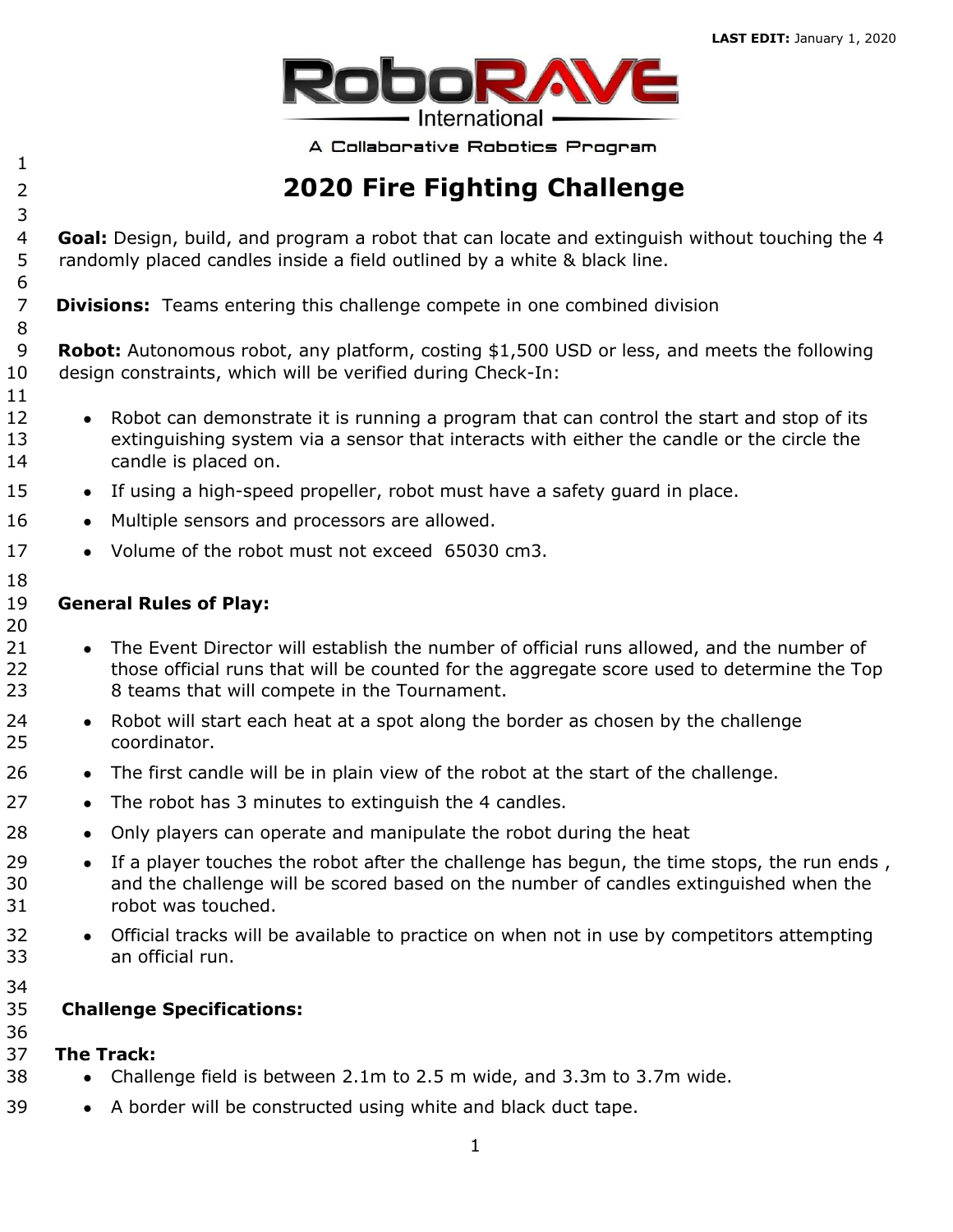

A Collaborative Robotics Program

# 

- **2020 Fire Fighting Challenge**
- **Goal:** Design, build, and program a robot that can locate and extinguish without touching the 4 randomly placed candles inside a field outlined by a white & black line.
- **Divisions:** Teams entering this challenge compete in one combined division
- **Robot:** Autonomous robot, any platform, costing \$1,500 USD or less, and meets the following design constraints, which will be verified during Check-In:
- **●** Robot can demonstrate it is running a program that can control the start and stop of its extinguishing system via a sensor that interacts with either the candle or the circle the candle is placed on.
- **●** If using a high-speed propeller, robot must have a safety guard in place.
- 16 Multiple sensors and processors are allowed.
- **●** Volume of the robot must not exceed 65030 cm3.

#### **General Rules of Play:**

- **●** The Event Director will establish the number of official runs allowed, and the number of 22 those official runs that will be counted for the aggregate score used to determine the Top 8 teams that will compete in the Tournament.
- **●** Robot will start each heat at a spot along the border as chosen by the challenge coordinator.
- **●** The first candle will be in plain view of the robot at the start of the challenge.
- **●** The robot has 3 minutes to extinguish the 4 candles.
- **●** Only players can operate and manipulate the robot during the heat
- **●** If a player touches the robot after the challenge has begun, the time stops, the run ends , and the challenge will be scored based on the number of candles extinguished when the robot was touched.
- **●** Official tracks will be available to practice on when not in use by competitors attempting an official run.
- 

### **Challenge Specifications:**

- **The Track:**
- **●** Challenge field is between 2.1m to 2.5 m wide, and 3.3m to 3.7m wide.
- **●** A border will be constructed using white and black duct tape.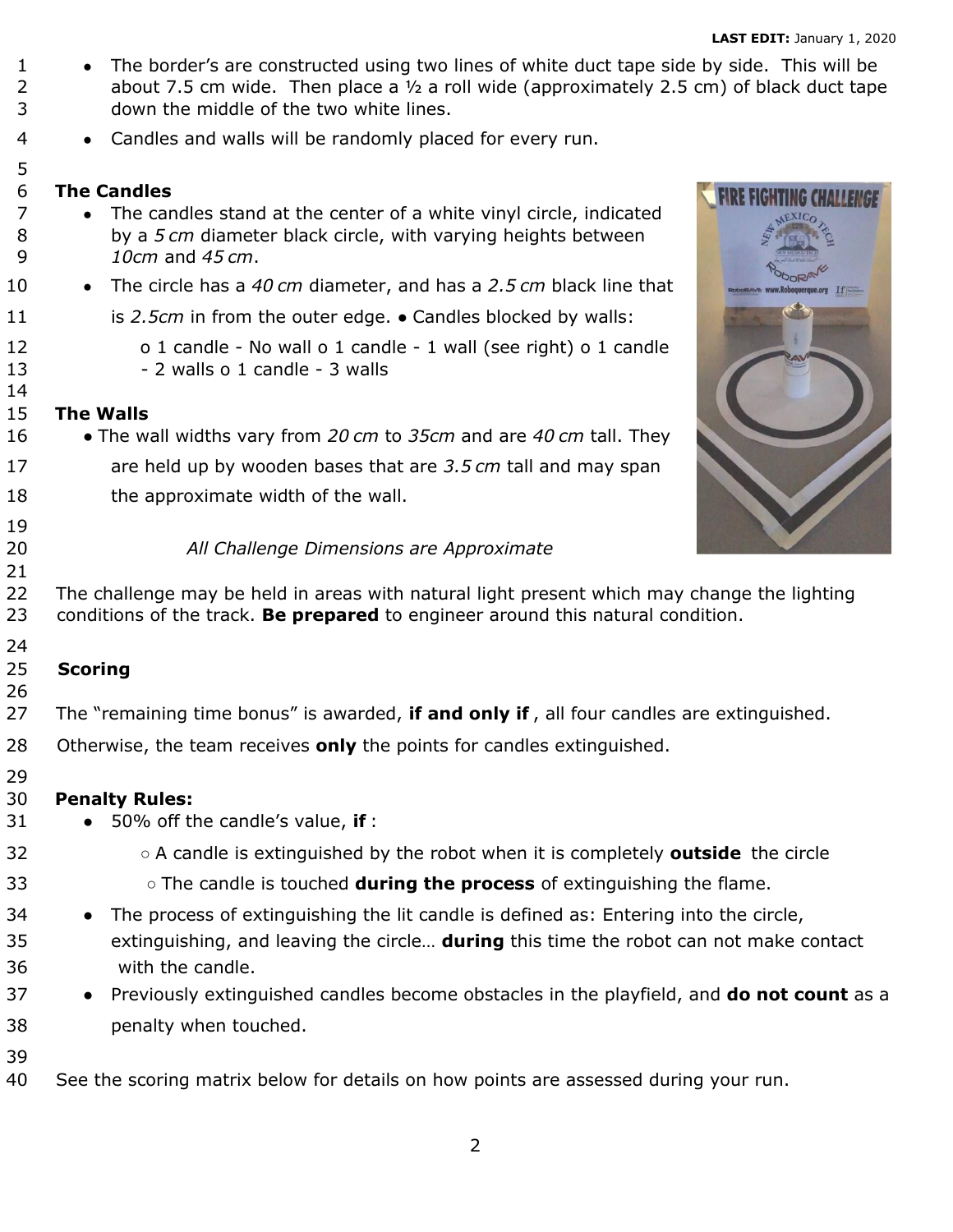**•** The border's are constructed using two lines of white duct tape side by side. This will be 2 about 7.5 cm wide. Then place a  $\frac{1}{2}$  a roll wide (approximately 2.5 cm) of black duct tape down the middle of the two white lines. **●** Candles and walls will be randomly placed for every run. **The Candles FIRE FIGHTING CHALLENGE ●** The candles stand at the center of a white vinyl circle, indicated by a *5 cm* diameter black circle, with varying heights between *10cm* and *45 cm*. **●** The circle has a *40 cm* diameter, and has a *2.5 cm* black line that  $TF =$ 11 is 2.5cm in from the outer edge. • Candles blocked by walls: o 1 candle - No wall o 1 candle - 1 wall (see right) o 1 candle 13 - 2 walls o 1 candle - 3 walls **The Walls ●** The wall widths vary from *20 cm* to *35cm* and are *40 cm* tall. They are held up by wooden bases that are *3.5 cm* tall and may span 18 the approximate width of the wall. *All Challenge Dimensions are Approximate*  22 The challenge may be held in areas with natural light present which may change the lighting conditions of the track. **Be prepared** to engineer around this natural condition. **Scoring** The "remaining time bonus" is awarded, **if and only if** , all four candles are extinguished. Otherwise, the team receives **only** the points for candles extinguished. **Penalty Rules:**  ● 50% off the candle's value, **if** : ○ A candle is extinguished by the robot when it is completely **outside** the circle ○ The candle is touched **during the process** of extinguishing the flame. 34 • The process of extinguishing the lit candle is defined as: Entering into the circle, extinguishing, and leaving the circle… **during** this time the robot can not make contact with the candle. ● Previously extinguished candles become obstacles in the playfield, and **do not count** as a penalty when touched. See the scoring matrix below for details on how points are assessed during your run.